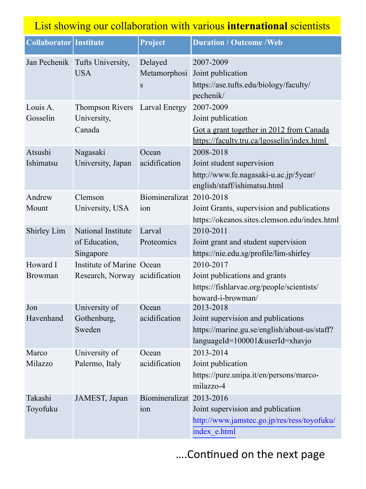| List showing our collaboration with various <b>international</b> scientists |                                                             |                              |                                                                                                                                    |
|-----------------------------------------------------------------------------|-------------------------------------------------------------|------------------------------|------------------------------------------------------------------------------------------------------------------------------------|
| <b>Collaborator Institute</b>                                               |                                                             | Project                      | <b>Duration / Outcome /Web</b>                                                                                                     |
|                                                                             | Jan Pechenik Tufts University,<br><b>USA</b>                | Delayed<br>Metamorphosi<br>S | 2007-2009<br>Joint publication<br>https://ase.tufts.edu/biology/faculty/<br>pechenik/                                              |
| Louis A.<br>Gosselin                                                        | <b>Thompson Rivers</b><br>University,<br>Canada             | Larval Energy                | 2007-2009<br>Joint publication<br>Got a grant together in 2012 from Canada<br>https://faculty.tru.ca/lgosselin/index.html          |
| Atsushi<br>Ishimatsu                                                        | Nagasaki<br>University, Japan                               | Ocean<br>acidification       | 2008-2018<br>Joint student supervision<br>http://www.fe.nagasaki-u.ac.jp/5year/<br>english/staff/ishimatsu.html                    |
| Andrew<br>Mount                                                             | Clemson<br>University, USA                                  | Biomineralizat<br>ion        | 2010-2018<br>Joint Grants, supervision and publications<br>https://okeanos.sites.clemson.edu/index.html                            |
| Shirley Lim                                                                 | National Institute<br>of Education,<br>Singapore            | Larval<br>Proteomics         | 2010-2011<br>Joint grant and student supervision<br>https://nie.edu.sg/profile/lim-shirley                                         |
| Howard I<br><b>Browman</b>                                                  | Institute of Marine Ocean<br>Research, Norway acidification |                              | 2010-2017<br>Joint publications and grants<br>https://fishlarvae.org/people/scientists/<br>howard-i-browman/                       |
| Jon<br>Havenhand                                                            | University of<br>Gothenburg,<br>Sweden                      | Ocean<br>acidification       | 2013-2018<br>Joint supervision and publications<br>https://marine.gu.se/english/about-us/staff?<br>languageId=100001&userId=xhavjo |
| Marco<br>Milazzo                                                            | University of<br>Palermo, Italy                             | Ocean<br>acidification       | 2013-2014<br>Joint publication<br>https://pure.unipa.it/en/persons/marco-<br>milazzo-4                                             |
| Takashi<br>Toyofuku                                                         | JAMEST, Japan                                               | Biomineralizat<br>ion        | 2013-2016<br>Joint supervision and publication<br>http://www.jamstec.go.jp/res/ress/toyofuku/<br>index e.html                      |

.... Continued on the next page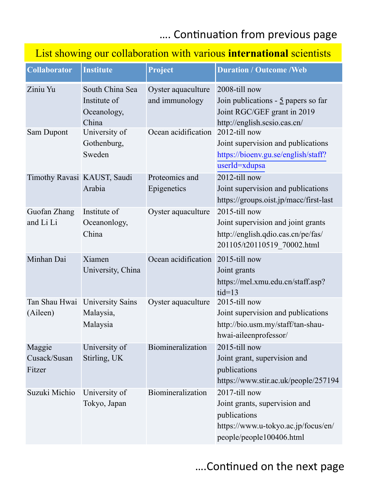## .... Continuation from previous page

## List showing our collaboration with various **international** scientists

| <b>Collaborator</b>              | <b>Institute</b>                                        | Project                              | <b>Duration / Outcome / Web</b>                                                                                                   |
|----------------------------------|---------------------------------------------------------|--------------------------------------|-----------------------------------------------------------------------------------------------------------------------------------|
| Ziniu Yu                         | South China Sea<br>Institute of<br>Oceanology,<br>China | Oyster aquaculture<br>and immunology | 2008-till now<br>Join publications - $\frac{5}{2}$ papers so far<br>Joint RGC/GEF grant in 2019<br>http://english.scsio.cas.cn/   |
| Sam Dupont                       | University of<br>Gothenburg,<br>Sweden                  | Ocean acidification                  | 2012-till now<br>Joint supervision and publications<br>https://bioenv.gu.se/english/staff?<br>userId=xdupsa                       |
| Timothy Ravasi KAUST, Saudi      | Arabia                                                  | Proteomics and<br>Epigenetics        | 2012-till now<br>Joint supervision and publications<br>https://groups.oist.jp/macc/first-last                                     |
| Guofan Zhang<br>and Li Li        | Institute of<br>Oceanonlogy,<br>China                   | Oyster aquaculture                   | 2015-till now<br>Joint supervision and joint grants<br>http://english.qdio.cas.cn/pe/fas/<br>201105/t20110519 70002.html          |
| Minhan Dai                       | Xiamen<br>University, China                             | Ocean acidification 2015-till now    | Joint grants<br>https://mel.xmu.edu.cn/staff.asp?<br>$tid=13$                                                                     |
| (Aileen)                         | Tan Shau Hwai University Sains<br>Malaysia,<br>Malaysia | Oyster aquaculture                   | 2015-till now<br>Joint supervision and publications<br>http://bio.usm.my/staff/tan-shau-<br>hwai-aileenprofessor/                 |
| Maggie<br>Cusack/Susan<br>Fitzer | University of<br>Stirling, UK                           | Biomineralization                    | 2015-till now<br>Joint grant, supervision and<br>publications<br>https://www.stir.ac.uk/people/257194                             |
| Suzuki Michio                    | University of<br>Tokyo, Japan                           | Biomineralization                    | 2017-till now<br>Joint grants, supervision and<br>publications<br>https://www.u-tokyo.ac.jp/focus/en/<br>people/people100406.html |

## .... Continued on the next page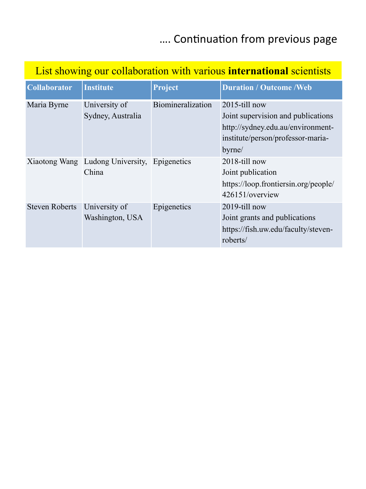## .... Continuation from previous page

## List showing our collaboration with various **international** scientists

| <b>Collaborator</b>   | <b>Institute</b>                                      | Project           | <b>Duration / Outcome / Web</b>                                                                                                            |
|-----------------------|-------------------------------------------------------|-------------------|--------------------------------------------------------------------------------------------------------------------------------------------|
| Maria Byrne           | University of<br>Sydney, Australia                    | Biomineralization | $2015$ -till now<br>Joint supervision and publications<br>http://sydney.edu.au/environment-<br>institute/person/professor-maria-<br>byrne/ |
|                       | Xiaotong Wang Ludong University, Epigenetics<br>China |                   | 2018-till now<br>Joint publication<br>https://loop.frontiersin.org/people/<br>426151/overview                                              |
| <b>Steven Roberts</b> | University of<br>Washington, USA                      | Epigenetics       | 2019-till now<br>Joint grants and publications<br>https://fish.uw.edu/faculty/steven-<br>roberts/                                          |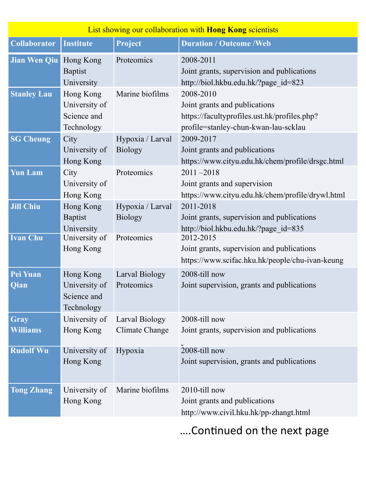| List showing our collaboration with <b>Hong Kong</b> scientists |                                                         |                                    |                                                                                                                                    |
|-----------------------------------------------------------------|---------------------------------------------------------|------------------------------------|------------------------------------------------------------------------------------------------------------------------------------|
| <b>Collaborator</b>                                             | <b>Institute</b>                                        | Project                            | <b>Duration / Outcome /Web</b>                                                                                                     |
| Jian Wen Qiu                                                    | Hong Kong<br><b>Baptist</b><br>University               | Proteomics                         | 2008-2011<br>Joint grants, supervision and publications<br>http://biol.hkbu.edu.hk/?page id=823                                    |
| <b>Stanley Lau</b>                                              | Hong Kong<br>University of<br>Science and<br>Technology | Marine biofilms                    | 2008-2010<br>Joint grants and publications<br>https://facultyprofiles.ust.hk/profiles.php?<br>profile=stanley-chun-kwan-lau-scklau |
| <b>SG Cheung</b>                                                | City<br>University of<br>Hong Kong                      | Hypoxia / Larval<br><b>Biology</b> | 2009-2017<br>Joint grants and publications<br>https://www.cityu.edu.hk/chem/profile/drsgc.html                                     |
| <b>Yun Lam</b>                                                  | City<br>University of<br>Hong Kong                      | Proteomics                         | $2011 - 2018$<br>Joint grants and supervision<br>https://www.cityu.edu.hk/chem/profile/drywl.html                                  |
| <b>Jill Chiu</b>                                                | Hong Kong<br><b>Baptist</b><br>University               | Hypoxia / Larval<br><b>Biology</b> | 2011-2018<br>Joint grants, supervision and publications<br>http://biol.hkbu.edu.hk/?page id=835                                    |
| <b>Ivan Chu</b>                                                 | University of<br>Hong Kong                              | Proteomics                         | 2012-2015<br>Joint grants, supervision and publications<br>https://www.scifac.hku.hk/people/chu-ivan-keung                         |
| Pei Yuan<br>Qian                                                | Hong Kong<br>University of<br>Science and<br>Technology | Larval Biology<br>Proteomics       | 2008-till now<br>Joint supervision, grants and publications                                                                        |
| Gray<br>Williams                                                | University of<br>Hong Kong                              | Larval Biology<br>Climate Change   | 2008-till now<br>Joint grants, supervision and publications                                                                        |
| <b>Rudolf Wu</b>                                                | University of<br>Hong Kong                              | Hypoxia                            | 2008-till now<br>Joint supervision, grants and publications                                                                        |
| <b>Tong Zhang</b>                                               | University of<br>Hong Kong                              | Marine biofilms                    | 2010-till now<br>Joint grants and publications<br>http://www.civil.hku.hk/pp-zhangt.html                                           |

.... Continued on the next page